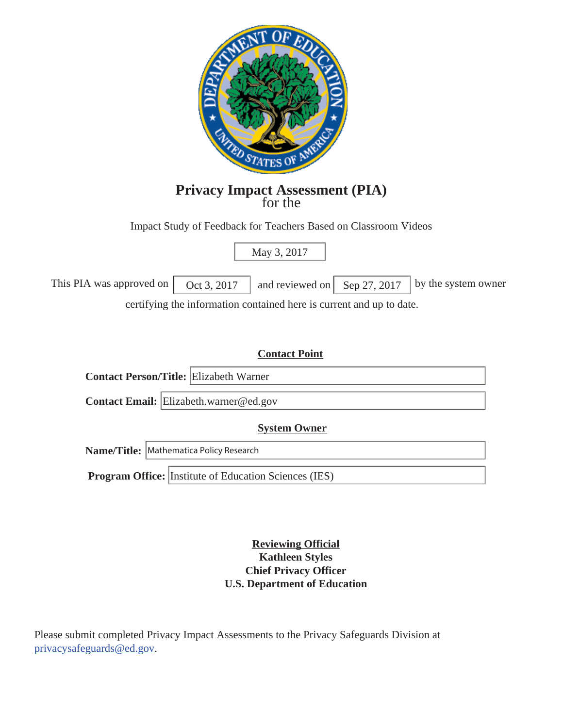

# **Privacy Impact Assessment (PIA)** for the

Impact Study of Feedback for Teachers Based on Classroom Videos

May 3, 2017

This PIA was approved on  $\begin{vmatrix} \text{Oct } 3, 2017 \end{vmatrix}$  and reviewed on  $\begin{vmatrix} \text{Sep } 27, 2017 \end{vmatrix}$  by the system owner certifying the information contained here is current and up to date.

# **Contact Point**

| <b>Contact Person/Title: Elizabeth Warner</b> |
|-----------------------------------------------|
| Contact Email: Elizabeth.warner@ed.gov        |

#### **System Owner**

**Name/Title:** Mathematica Policy Research

**Program Office:** Institute of Education Sciences (IES)

**Reviewing Official Kathleen Styles Chief Privacy Officer U.S. Department of Education** 

Please submit completed Privacy Impact Assessments to the Privacy Safeguards Division at privacysafeguards@ed.gov.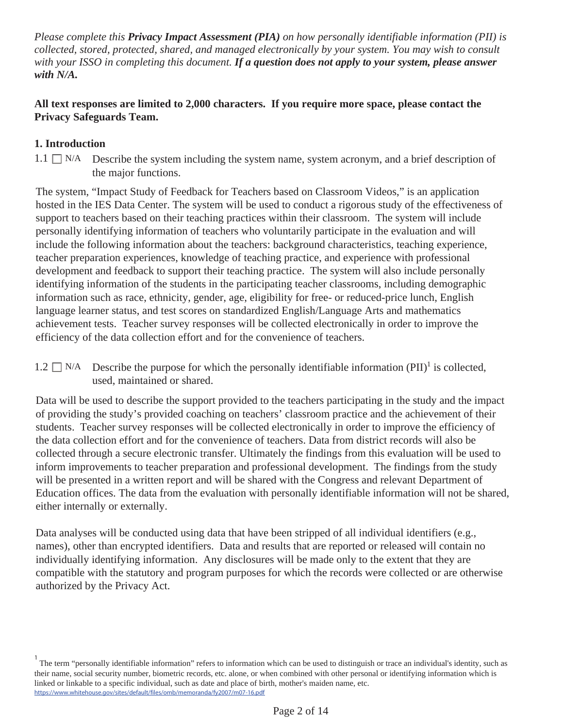*Please complete this Privacy Impact Assessment (PIA) on how personally identifiable information (PII) is collected, stored, protected, shared, and managed electronically by your system. You may wish to consult with your ISSO in completing this document. If a question does not apply to your system, please answer with N/A.* 

# **All text responses are limited to 2,000 characters. If you require more space, please contact the Privacy Safeguards Team.**

# **1. Introduction**

 $1.1 \Box$  N/A Describe the system including the system name, system acronym, and a brief description of the major functions.

The system, "Impact Study of Feedback for Teachers based on Classroom Videos," is an application hosted in the IES Data Center. The system will be used to conduct a rigorous study of the effectiveness of support to teachers based on their teaching practices within their classroom. The system will include personally identifying information of teachers who voluntarily participate in the evaluation and will include the following information about the teachers: background characteristics, teaching experience, teacher preparation experiences, knowledge of teaching practice, and experience with professional development and feedback to support their teaching practice. The system will also include personally identifying information of the students in the participating teacher classrooms, including demographic information such as race, ethnicity, gender, age, eligibility for free- or reduced-price lunch, English language learner status, and test scores on standardized English/Language Arts and mathematics achievement tests. Teacher survey responses will be collected electronically in order to improve the efficiency of the data collection effort and for the convenience of teachers.

1.2  $\Box$  N/A Describe the purpose for which the personally identifiable information (PII)<sup>1</sup> is collected, used, maintained or shared.

Data will be used to describe the support provided to the teachers participating in the study and the impact of providing the study's provided coaching on teachers' classroom practice and the achievement of their students. Teacher survey responses will be collected electronically in order to improve the efficiency of the data collection effort and for the convenience of teachers. Data from district records will also be collected through a secure electronic transfer. Ultimately the findings from this evaluation will be used to inform improvements to teacher preparation and professional development. The findings from the study will be presented in a written report and will be shared with the Congress and relevant Department of Education offices. The data from the evaluation with personally identifiable information will not be shared, either internally or externally.

Data analyses will be conducted using data that have been stripped of all individual identifiers (e.g., names), other than encrypted identifiers. Data and results that are reported or released will contain no individually identifying information. Any disclosures will be made only to the extent that they are compatible with the statutory and program purposes for which the records were collected or are otherwise authorized by the Privacy Act.

<sup>&</sup>lt;sup>1</sup> The term "personally identifiable information" refers to information which can be used to distinguish or trace an individual's identity, such as their name, social security number, biometric records, etc. alone, or when combined with other personal or identifying information which is linked or linkable to a specific individual, such as date and place of birth, mother's maiden name, etc. https://www.whitehouse.gov/sites/default/files/omb/memoranda/fy2007/m07-16.pdf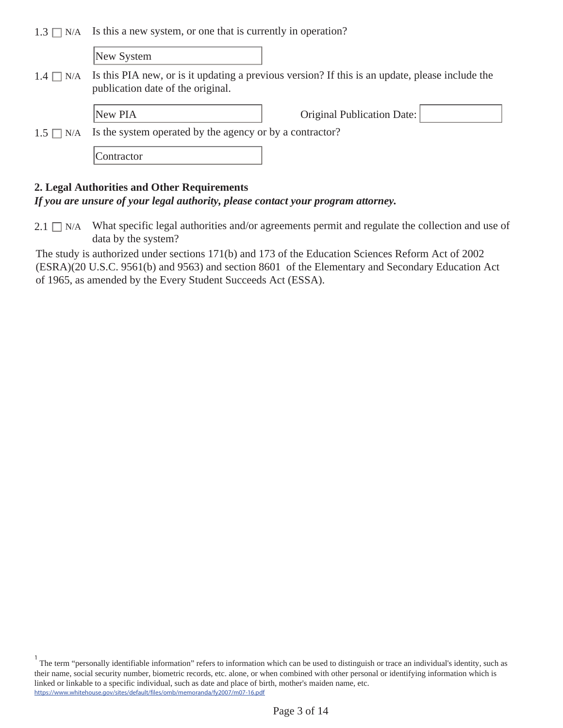1.3  $\Box$  N/A Is this a new system, or one that is currently in operation?

New System

 $1.4 \square$  N/A Is this PIA new, or is it updating a previous version? If this is an update, please include the publication date of the original.

New PIA **Driginal Publication Date:** 

 $1.5 \square N/A$ Is the system operated by the agency or by a contractor?

**Contractor** 

#### **2. Legal Authorities and Other Requirements**

#### *If you are unsure of your legal authority, please contact your program attorney.*

 $2.1 \Box$  N/A What specific legal authorities and/or agreements permit and regulate the collection and use of data by the system?

The study is authorized under sections 171(b) and 173 of the Education Sciences Reform Act of 2002 (ESRA)(20 U.S.C. 9561(b) and 9563) and section 8601 of the Elementary and Secondary Education Act of 1965, as amended by the Every Student Succeeds Act (ESSA).

<sup>&</sup>lt;sup>1</sup> The term "personally identifiable information" refers to information which can be used to distinguish or trace an individual's identity, such as their name, social security number, biometric records, etc. alone, or when combined with other personal or identifying information which is linked or linkable to a specific individual, such as date and place of birth, mother's maiden name, etc. https://www.whitehouse.gov/sites/default/files/omb/memoranda/fy2007/m07-16.pdf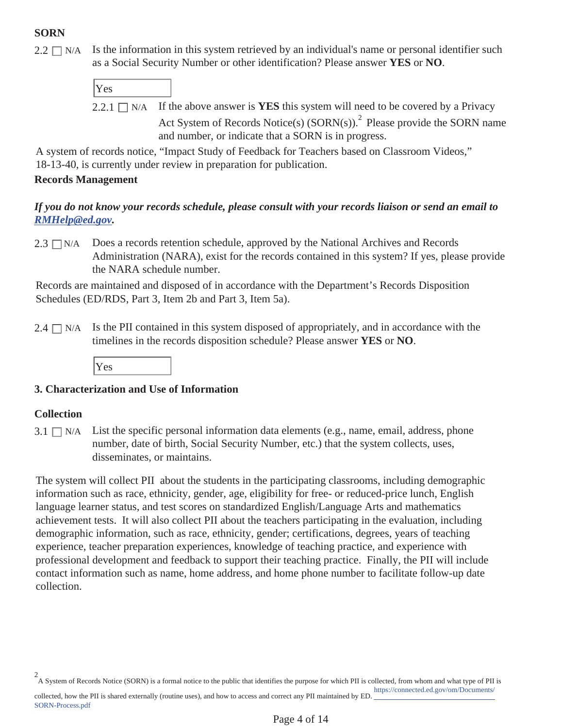# **SORN**

 $2.2 \square$  N/A Is the information in this system retrieved by an individual's name or personal identifier such as a Social Security Number or other identification? Please answer **YES** or **NO**.

| Yes |                                                                                                     |
|-----|-----------------------------------------------------------------------------------------------------|
|     | 2.2.1 $\Box$ N/A If the above answer is <b>YES</b> this system will need to be covered by a Privacy |
|     | Act System of Records Notice(s) (SORN(s)). <sup>2</sup> Please provide the SORN name                |
|     | and number, or indicate that a SORN is in progress.                                                 |

A system of records notice, "Impact Study of Feedback for Teachers based on Classroom Videos," 18-13-40, is currently under review in preparation for publication.

#### **Records Management**

## *If you do not know your records schedule, please consult with your records liaison or send an email to RMHelp@ed.gov.*

 $2.3 \square N/A$  Does a records retention schedule, approved by the National Archives and Records Administration (NARA), exist for the records contained in this system? If yes, please provide the NARA schedule number.

Records are maintained and disposed of in accordance with the Department's Records Disposition Schedules (ED/RDS, Part 3, Item 2b and Part 3, Item 5a).

Is the PII contained in this system disposed of appropriately, and in accordance with the timelines in the records disposition schedule? Please answer **YES** or **NO**.  $2.4 \square$  N/A

Yes

# **3. Characterization and Use of Information**

#### **Collection**

SORN-Process.pdf

 $3.1 \square$  N/A List the specific personal information data elements (e.g., name, email, address, phone number, date of birth, Social Security Number, etc.) that the system collects, uses, disseminates, or maintains.

The system will collect PII about the students in the participating classrooms, including demographic information such as race, ethnicity, gender, age, eligibility for free- or reduced-price lunch, English language learner status, and test scores on standardized English/Language Arts and mathematics achievement tests. It will also collect PII about the teachers participating in the evaluation, including demographic information, such as race, ethnicity, gender; certifications, degrees, years of teaching experience, teacher preparation experiences, knowledge of teaching practice, and experience with professional development and feedback to support their teaching practice. Finally, the PII will include contact information such as name, home address, and home phone number to facilitate follow-up date collection.

A System of Records Notice (SORN) is a formal notice to the public that identifies the purpose for which PII is collected, from whom and what type of PII is 2 https://connected.ed.gov/om/Documents/ collected, how the PII is shared externally (routine uses), and how to access and correct any PII maintained by ED.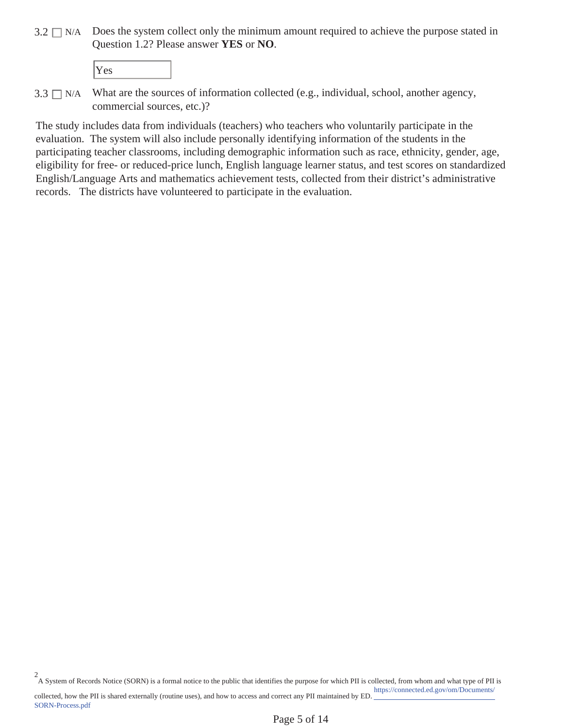$3.2 \square$  N/A Does the system collect only the minimum amount required to achieve the purpose stated in Question 1.2? Please answer **YES** or **NO**.

SORN-Process.pdf

 $3.3 \square$  N/A What are the sources of information collected (e.g., individual, school, another agency, commercial sources, etc.)?

The study includes data from individuals (teachers) who teachers who voluntarily participate in the evaluation. The system will also include personally identifying information of the students in the participating teacher classrooms, including demographic information such as race, ethnicity, gender, age, eligibility for free- or reduced-price lunch, English language learner status, and test scores on standardized English/Language Arts and mathematics achievement tests, collected from their district's administrative records. The districts have volunteered to participate in the evaluation.

A System of Records Notice (SORN) is a formal notice to the public that identifies the purpose for which PII is collected, from whom and what type of PII is https://connected.ed.gov/om/Documents/ collected, how the PII is shared externally (routine uses), and how to access and correct any PII maintained by ED. 2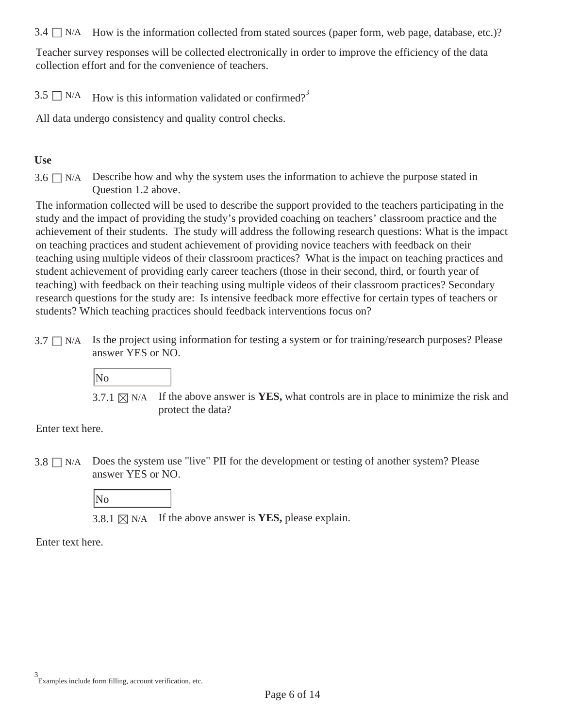$3.4 \Box$  N/A How is the information collected from stated sources (paper form, web page, database, etc.)?

Teacher survey responses will be collected electronically in order to improve the efficiency of the data collection effort and for the convenience of teachers.

3.5  $\Box$  N/A How is this information validated or confirmed?<sup>3</sup>

All data undergo consistency and quality control checks.

#### **Use**

 $3.6 \Box$  N/A Describe how and why the system uses the information to achieve the purpose stated in Question 1.2 above.

The information collected will be used to describe the support provided to the teachers participating in the study and the impact of providing the study's provided coaching on teachers' classroom practice and the achievement of their students. The study will address the following research questions: What is the impact on teaching practices and student achievement of providing novice teachers with feedback on their teaching using multiple videos of their classroom practices? What is the impact on teaching practices and student achievement of providing early career teachers (those in their second, third, or fourth year of teaching) with feedback on their teaching using multiple videos of their classroom practices? Secondary research questions for the study are: Is intensive feedback more effective for certain types of teachers or students? Which teaching practices should feedback interventions focus on?

 $3.7 \square$  N/A Is the project using information for testing a system or for training/research purposes? Please answer YES or NO.



3.7.1  $\boxtimes$  N/A If the above answer is **YES**, what controls are in place to minimize the risk and protect the data?

Enter text here.

 $3.8 \square$  N/A Does the system use "live" PII for the development or testing of another system? Please answer YES or NO.

No

3.8.1  $\boxtimes$  N/A If the above answer is **YES**, please explain.

Enter text here.

Examples include form filling, account verification, etc. 3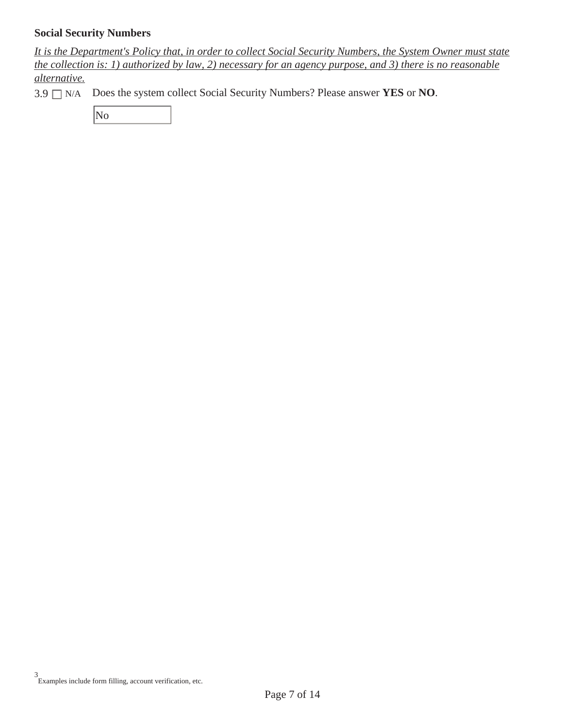#### **Social Security Numbers**

*It is the Department's Policy that, in order to collect Social Security Numbers, the System Owner must state the collection is: 1) authorized by law, 2) necessary for an agency purpose, and 3) there is no reasonable alternative.* 

3.9 N/A Does the system collect Social Security Numbers? Please answer **YES** or **NO**.

No

Examples include form filling, account verification, etc. 3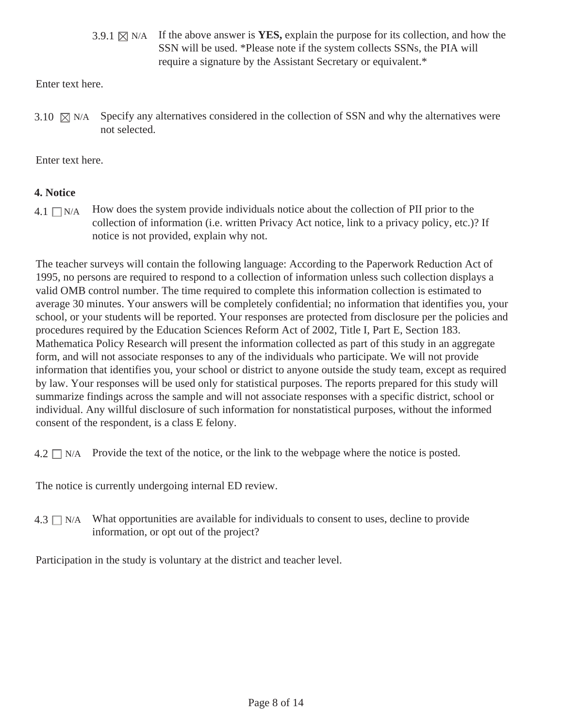3.9.1  $\boxtimes$  N/A If the above answer is **YES**, explain the purpose for its collection, and how the SSN will be used. \*Please note if the system collects SSNs, the PIA will require a signature by the Assistant Secretary or equivalent.\*

Enter text here.

Specify any alternatives considered in the collection of SSN and why the alternatives were not selected. 3.10  $\boxtimes$  N/A

Enter text here.

# **4. Notice**

 $4.1 \square N/A$  How does the system provide individuals notice about the collection of PII prior to the collection of information (i.e. written Privacy Act notice, link to a privacy policy, etc.)? If notice is not provided, explain why not.

The teacher surveys will contain the following language: According to the Paperwork Reduction Act of 1995, no persons are required to respond to a collection of information unless such collection displays a valid OMB control number. The time required to complete this information collection is estimated to average 30 minutes. Your answers will be completely confidential; no information that identifies you, your school, or your students will be reported. Your responses are protected from disclosure per the policies and procedures required by the Education Sciences Reform Act of 2002, Title I, Part E, Section 183. Mathematica Policy Research will present the information collected as part of this study in an aggregate form, and will not associate responses to any of the individuals who participate. We will not provide information that identifies you, your school or district to anyone outside the study team, except as required by law. Your responses will be used only for statistical purposes. The reports prepared for this study will summarize findings across the sample and will not associate responses with a specific district, school or individual. Any willful disclosure of such information for nonstatistical purposes, without the informed consent of the respondent, is a class E felony.

 $4.2 \square N/A$  Provide the text of the notice, or the link to the webpage where the notice is posted.

The notice is currently undergoing internal ED review.

 $4.3 \square$  N/A What opportunities are available for individuals to consent to uses, decline to provide information, or opt out of the project?

Participation in the study is voluntary at the district and teacher level.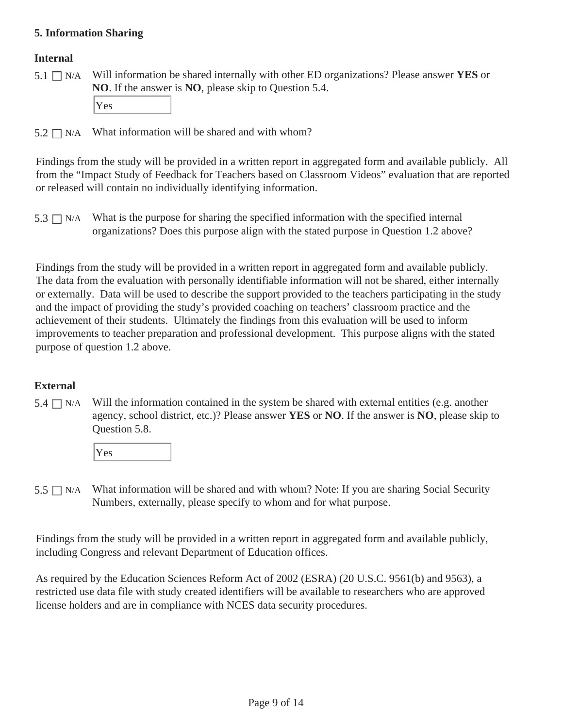#### **5. Information Sharing**

#### **Internal**

 $5.1 \square N/A$ N/A Will information be shared internally with other ED organizations? Please answer **YES** or **NO**. If the answer is **NO**, please skip to Question 5.4.

Yes

 $5.2 \square$  N/A What information will be shared and with whom?

Findings from the study will be provided in a written report in aggregated form and available publicly. All from the "Impact Study of Feedback for Teachers based on Classroom Videos" evaluation that are reported or released will contain no individually identifying information.

 $5.3 \square$  N/A What is the purpose for sharing the specified information with the specified internal organizations? Does this purpose align with the stated purpose in Question 1.2 above?

Findings from the study will be provided in a written report in aggregated form and available publicly. The data from the evaluation with personally identifiable information will not be shared, either internally or externally. Data will be used to describe the support provided to the teachers participating in the study and the impact of providing the study's provided coaching on teachers' classroom practice and the achievement of their students. Ultimately the findings from this evaluation will be used to inform improvements to teacher preparation and professional development. This purpose aligns with the stated purpose of question 1.2 above.

# **External**

 $5.4 \square$  N/A Will the information contained in the system be shared with external entities (e.g. another agency, school district, etc.)? Please answer **YES** or **NO**. If the answer is **NO**, please skip to Question 5.8.



 $5.5 \square$  N/A What information will be shared and with whom? Note: If you are sharing Social Security Numbers, externally, please specify to whom and for what purpose.

Findings from the study will be provided in a written report in aggregated form and available publicly, including Congress and relevant Department of Education offices.

As required by the Education Sciences Reform Act of 2002 (ESRA) (20 U.S.C. 9561(b) and 9563), a restricted use data file with study created identifiers will be available to researchers who are approved license holders and are in compliance with NCES data security procedures.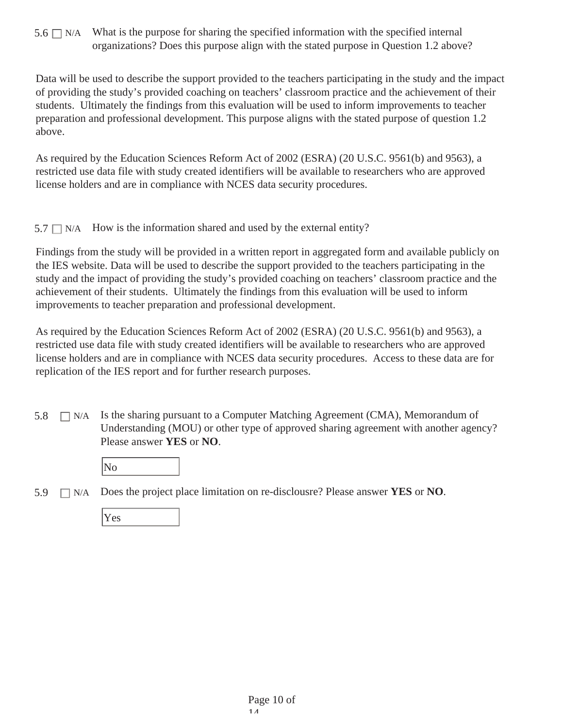$5.6 \Box$  N/A What is the purpose for sharing the specified information with the specified internal organizations? Does this purpose align with the stated purpose in Question 1.2 above?

Data will be used to describe the support provided to the teachers participating in the study and the impact of providing the study's provided coaching on teachers' classroom practice and the achievement of their students. Ultimately the findings from this evaluation will be used to inform improvements to teacher preparation and professional development. This purpose aligns with the stated purpose of question 1.2 above.

As required by the Education Sciences Reform Act of 2002 (ESRA) (20 U.S.C. 9561(b) and 9563), a restricted use data file with study created identifiers will be available to researchers who are approved license holders and are in compliance with NCES data security procedures.

 $5.7 \Box$  N/A How is the information shared and used by the external entity?

Findings from the study will be provided in a written report in aggregated form and available publicly on the IES website. Data will be used to describe the support provided to the teachers participating in the study and the impact of providing the study's provided coaching on teachers' classroom practice and the achievement of their students. Ultimately the findings from this evaluation will be used to inform improvements to teacher preparation and professional development.

As required by the Education Sciences Reform Act of 2002 (ESRA) (20 U.S.C. 9561(b) and 9563), a restricted use data file with study created identifiers will be available to researchers who are approved license holders and are in compliance with NCES data security procedures. Access to these data are for replication of the IES report and for further research purposes.

 $\Box$  N/A Is the sharing pursuant to a Computer Matching Agreement (CMA), Memorandum of Understanding (MOU) or other type of approved sharing agreement with another agency? Please answer **YES** or **NO**. 5.8

|--|

5.9 N/A Does the project place limitation on re-disclousre? Please answer **YES** or **NO**.

|--|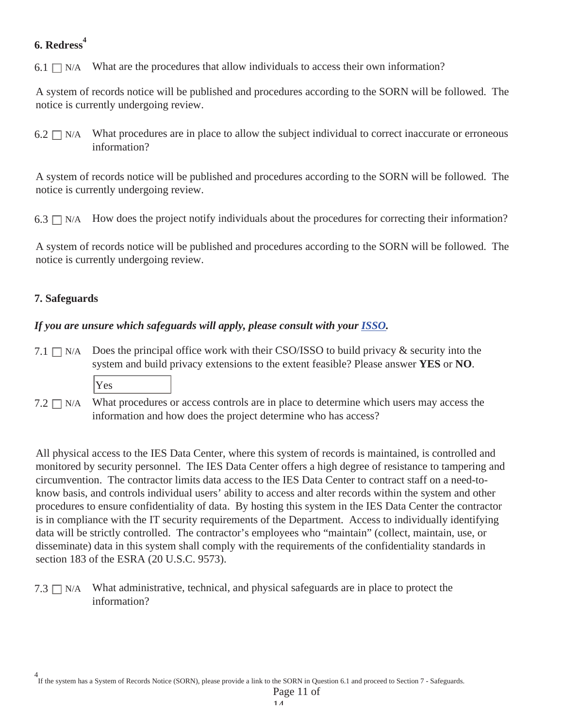# **6. Redress<sup>4</sup>**

6.1  $\Box$  N/A What are the procedures that allow individuals to access their own information?

A system of records notice will be published and procedures according to the SORN will be followed. The notice is currently undergoing review.

What procedures are in place to allow the subject individual to correct inaccurate or erroneous information?  $6.2 \square$  N/A

A system of records notice will be published and procedures according to the SORN will be followed. The notice is currently undergoing review.

6.3  $\Box$  N/A How does the project notify individuals about the procedures for correcting their information?

A system of records notice will be published and procedures according to the SORN will be followed. The notice is currently undergoing review.

# **7. Safeguards**

# *If you are unsure which safeguards will apply, please consult with your ISSO.*

- 7.1  $\Box$  N/A Does the principal office work with their CSO/ISSO to build privacy & security into the system and build privacy extensions to the extent feasible? Please answer **YES** or **NO**.
	- Yes
- What procedures or access controls are in place to determine which users may access the information and how does the project determine who has access?  $7.2 \square$  N/A

All physical access to the IES Data Center, where this system of records is maintained, is controlled and monitored by security personnel. The IES Data Center offers a high degree of resistance to tampering and circumvention. The contractor limits data access to the IES Data Center to contract staff on a need-toknow basis, and controls individual users' ability to access and alter records within the system and other procedures to ensure confidentiality of data. By hosting this system in the IES Data Center the contractor is in compliance with the IT security requirements of the Department. Access to individually identifying data will be strictly controlled. The contractor's employees who "maintain" (collect, maintain, use, or disseminate) data in this system shall comply with the requirements of the confidentiality standards in section 183 of the ESRA (20 U.S.C. 9573).

7.3  $\Box$  N/A What administrative, technical, and physical safeguards are in place to protect the information?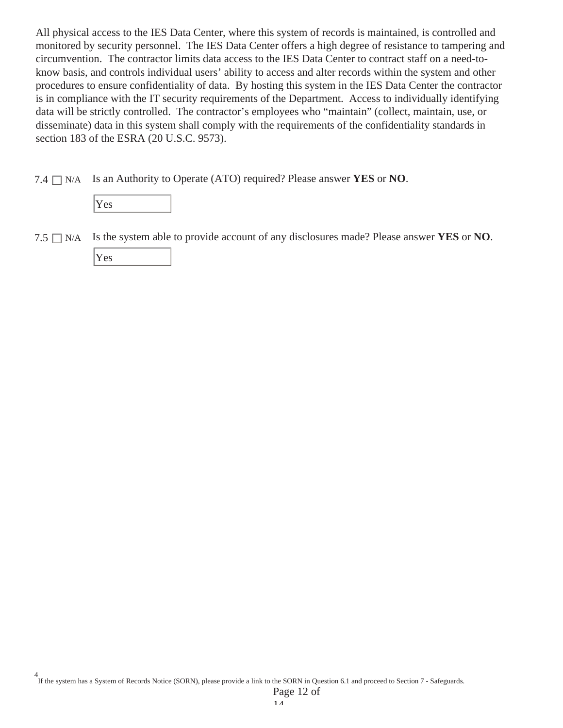All physical access to the IES Data Center, where this system of records is maintained, is controlled and monitored by security personnel. The IES Data Center offers a high degree of resistance to tampering and circumvention. The contractor limits data access to the IES Data Center to contract staff on a need-toknow basis, and controls individual users' ability to access and alter records within the system and other procedures to ensure confidentiality of data. By hosting this system in the IES Data Center the contractor is in compliance with the IT security requirements of the Department. Access to individually identifying data will be strictly controlled. The contractor's employees who "maintain" (collect, maintain, use, or disseminate) data in this system shall comply with the requirements of the confidentiality standards in section 183 of the ESRA (20 U.S.C. 9573).

7.4 N/A Is an Authority to Operate (ATO) required? Please answer **YES** or **NO**.

| r.<br>r es<br>ı |  |  |
|-----------------|--|--|
|                 |  |  |

 $7.5 \square$  N/A Is the system able to provide account of any disclosures made? Please answer **YES** or **NO**.

Yes